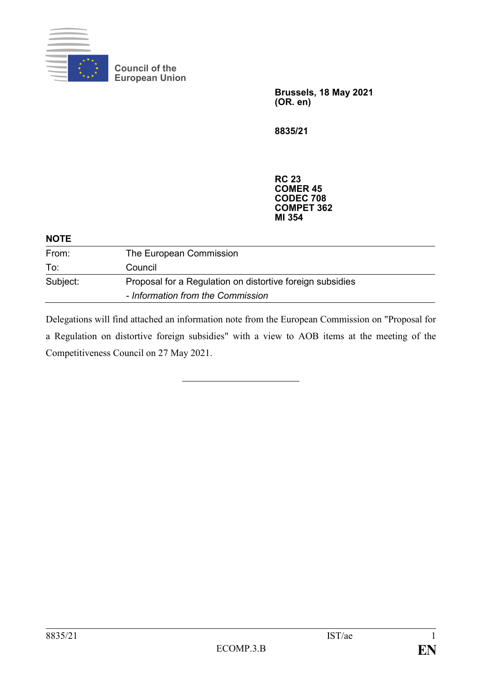

**Council of the European Union**

> **Brussels, 18 May 2021 (OR. en)**

**8835/21**

**RC 23 COMER 45 CODEC 708 COMPET 362 MI 354**

| <b>NOTE</b> |                                                                                                |
|-------------|------------------------------------------------------------------------------------------------|
| From:       | The European Commission                                                                        |
| To:         | Council                                                                                        |
| Subject:    | Proposal for a Regulation on distortive foreign subsidies<br>- Information from the Commission |

Delegations will find attached an information note from the European Commission on "Proposal for a Regulation on distortive foreign subsidies" with a view to AOB items at the meeting of the Competitiveness Council on 27 May 2021.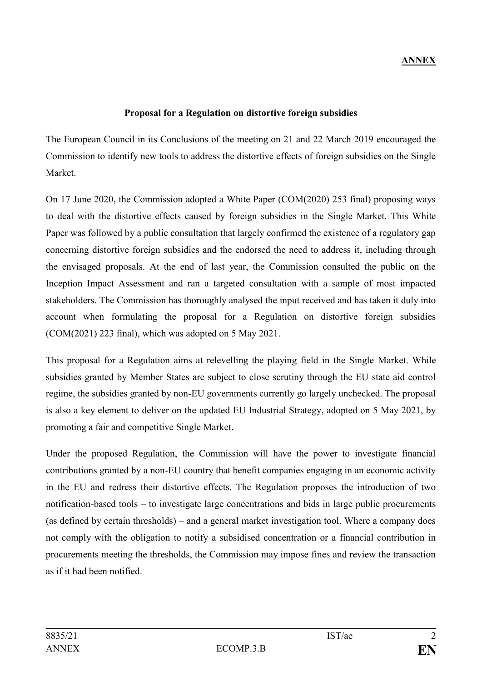## **Proposal for a Regulation on distortive foreign subsidies**

The European Council in its [Conclusions of the meeting on 21 and 22 March 2019](https://data.consilium.europa.eu/doc/document/ST-1-2019-INIT/en/pdf) encouraged the Commission to identify new tools to address the distortive effects of foreign subsidies on the Single Market.

On 17 June 2020, the Commission adopted a White Paper (COM(2020) 253 final) proposing ways to deal with the distortive effects caused by foreign subsidies in the Single Market. This White Paper was followed by a public consultation that largely confirmed the existence of a regulatory gap concerning distortive foreign subsidies and the endorsed the need to address it, including through the envisaged proposals. At the end of last year, the Commission consulted the public on the Inception Impact Assessment and ran a targeted consultation with a sample of most impacted stakeholders. The Commission has thoroughly analysed the input received and has taken it duly into account when formulating the proposal for a Regulation on distortive foreign subsidies (COM(2021) 223 final), which was adopted on 5 May 2021.

This proposal for a Regulation aims at relevelling the playing field in the Single Market. While subsidies granted by Member States are subject to close scrutiny through the EU state aid control regime, the subsidies granted by non-EU governments currently go largely unchecked. The proposal is also a key element to deliver on the updated [EU Industrial Strategy,](https://ec.europa.eu/commission/presscorner/detail/en/IP_21_1884) adopted on 5 May 2021, by promoting a fair and competitive Single Market.

Under the proposed Regulation, the Commission will have the power to investigate financial contributions granted by a non-EU country that benefit companies engaging in an economic activity in the EU and redress their distortive effects. The Regulation proposes the introduction of two notification-based tools – to investigate large concentrations and bids in large public procurements (as defined by certain thresholds) – and a general market investigation tool. Where a company does not comply with the obligation to notify a subsidised concentration or a financial contribution in procurements meeting the thresholds, the Commission may impose fines and review the transaction as if it had been notified.